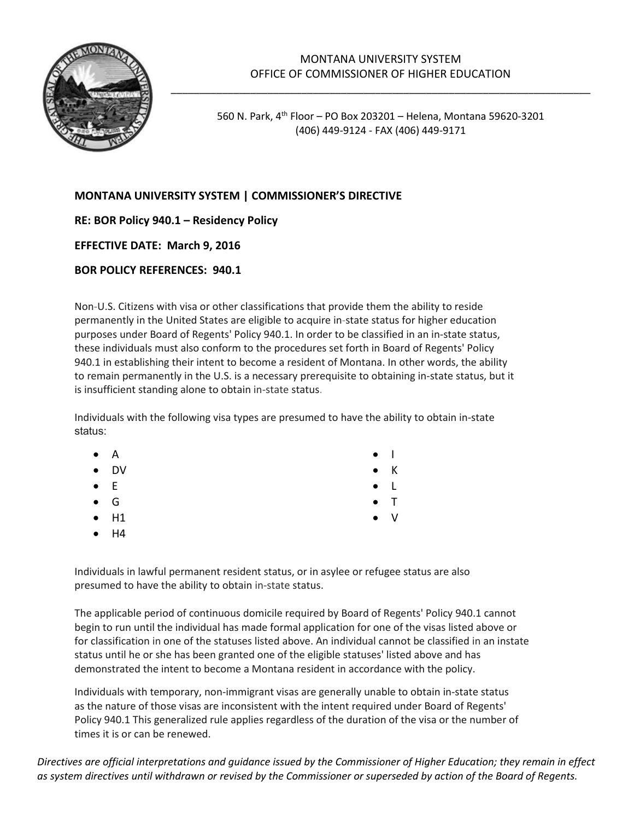

## MONTANA UNIVERSITY SYSTEM OFFICE OF COMMISSIONER OF HIGHER EDUCATION

\_\_\_\_\_\_\_\_\_\_\_\_\_\_\_\_\_\_\_\_\_\_\_\_\_\_\_\_\_\_\_\_\_\_\_\_\_\_\_\_\_\_\_\_\_\_\_\_\_\_\_\_\_\_\_\_\_\_\_\_\_\_\_\_\_\_\_\_\_\_\_\_\_\_

560 N. Park, 4th Floor – PO Box 203201 – Helena, Montana 59620-3201 (406) 449-9124 - FAX (406) 449-9171

• V

## **MONTANA UNIVERSITY SYSTEM | COMMISSIONER'S DIRECTIVE**

**RE: BOR Policy 940.1 – Residency Policy** 

**EFFECTIVE DATE: March 9, 2016**

## **BOR POLICY REFERENCES: 940.1**

Non-U.S. Citizens with visa or other classifications that provide them the ability to reside permanently in the United States are eligible to acquire in-state status for higher education purposes under Board of Regents' Policy 940.1. In order to be classified in an in-state status, these individuals must also conform to the procedures set forth in Board of Regents' Policy 940.1 in establishing their intent to become a resident of Montana. In other words, the ability to remain permanently in the U.S. is a necessary prerequisite to obtaining in-state status, but it is insufficient standing alone to obtain in-state status.

Individuals with the following visa types are presumed to have the ability to obtain in-state status:

| $\bullet$ $\quad$ A | $\bullet$   |
|---------------------|-------------|
| $\bullet$ DV        | $\bullet$ K |
| $\bullet$ E         | $\bullet$ L |
| $\bullet$ G         | $\bullet$ T |

- H1
- H4

Individuals in lawful permanent resident status, or in asylee or refugee status are also presumed to have the ability to obtain in-state status.

The applicable period of continuous domicile required by Board of Regents' Policy 940.1 cannot begin to run until the individual has made formal application for one of the visas listed above or for classification in one of the statuses listed above. An individual cannot be classified in an instate status until he or she has been granted one of the eligible statuses' listed above and has demonstrated the intent to become a Montana resident in accordance with the policy.

Individuals with temporary, non-immigrant visas are generally unable to obtain in-state status as the nature of those visas are inconsistent with the intent required under Board of Regents' Policy 940.1 This generalized rule applies regardless of the duration of the visa or the number of times it is or can be renewed.

*Directives are official interpretations and guidance issued by the Commissioner of Higher Education; they remain in effect as system directives until withdrawn or revised by the Commissioner or superseded by action of the Board of Regents.*